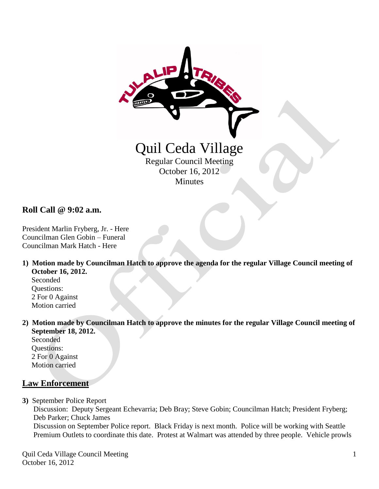

**Roll Call @ 9:02 a.m.**

President Marlin Fryberg, Jr. - Here Councilman Glen Gobin – Funeral Councilman Mark Hatch - Here

**1) Motion made by Councilman Hatch to approve the agenda for the regular Village Council meeting of October 16, 2012.**

 Seconded Questions: 2 For 0 Against Motion carried

**2) Motion made by Councilman Hatch to approve the minutes for the regular Village Council meeting of September 18, 2012.**

 Seconded Questions: 2 For 0 Against Motion carried

# **Law Enforcement**

**3)** September Police Report

 Discussion: Deputy Sergeant Echevarria; Deb Bray; Steve Gobin; Councilman Hatch; President Fryberg; Deb Parker; Chuck James Discussion on September Police report. Black Friday is next month. Police will be working with Seattle Premium Outlets to coordinate this date. Protest at Walmart was attended by three people. Vehicle prowls

Quil Ceda Village Council Meeting October 16, 2012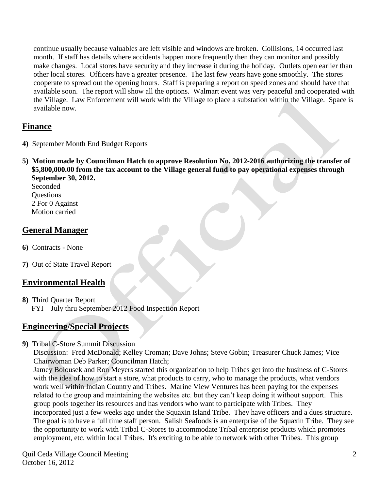continue usually because valuables are left visible and windows are broken. Collisions, 14 occurred last month. If staff has details where accidents happen more frequently then they can monitor and possibly make changes. Local stores have security and they increase it during the holiday. Outlets open earlier than other local stores. Officers have a greater presence. The last few years have gone smoothly. The stores cooperate to spread out the opening hours. Staff is preparing a report on speed zones and should have that available soon. The report will show all the options. Walmart event was very peaceful and cooperated with the Village. Law Enforcement will work with the Village to place a substation within the Village. Space is available now.

## **Finance**

- **4)** September Month End Budget Reports
- **5) Motion made by Councilman Hatch to approve Resolution No. 2012-2016 authorizing the transfer of \$5,800,000.00 from the tax account to the Village general fund to pay operational expenses through September 30, 2012.**

 Seconded **Ouestions**  2 For 0 Against Motion carried

## **General Manager**

- **6)** Contracts None
- **7)** Out of State Travel Report

# **Environmental Health**

**8)** Third Quarter Report FYI – July thru September 2012 Food Inspection Report

## **Engineering/Special Projects**

**9)** Tribal C-Store Summit Discussion

 Discussion: Fred McDonald; Kelley Croman; Dave Johns; Steve Gobin; Treasurer Chuck James; Vice Chairwoman Deb Parker; Councilman Hatch;

 Jamey Bolousek and Ron Meyers started this organization to help Tribes get into the business of C-Stores with the idea of how to start a store, what products to carry, who to manage the products, what vendors work well within Indian Country and Tribes. Marine View Ventures has been paying for the expenses related to the group and maintaining the websites etc. but they can't keep doing it without support. This group pools together its resources and has vendors who want to participate with Tribes. They incorporated just a few weeks ago under the Squaxin Island Tribe. They have officers and a dues structure. The goal is to have a full time staff person. Salish Seafoods is an enterprise of the Squaxin Tribe. They see the opportunity to work with Tribal C-Stores to accommodate Tribal enterprise products which promotes employment, etc. within local Tribes. It's exciting to be able to network with other Tribes. This group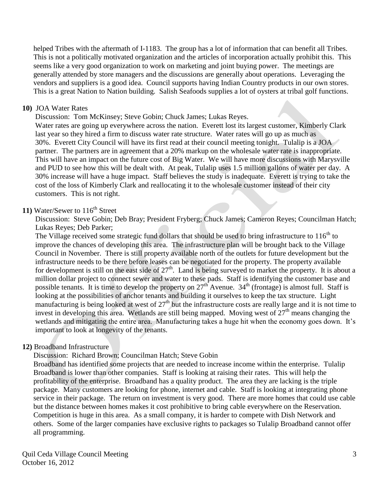helped Tribes with the aftermath of I-1183. The group has a lot of information that can benefit all Tribes. This is not a politically motivated organization and the articles of incorporation actually prohibit this. This seems like a very good organization to work on marketing and joint buying power. The meetings are generally attended by store managers and the discussions are generally about operations. Leveraging the vendors and suppliers is a good idea. Council supports having Indian Country products in our own stores. This is a great Nation to Nation building. Salish Seafoods supplies a lot of oysters at tribal golf functions.

#### **10)** JOA Water Rates

Discussion: Tom McKinsey; Steve Gobin; Chuck James; Lukas Reyes.

 Water rates are going up everywhere across the nation. Everett lost its largest customer, Kimberly Clark last year so they hired a firm to discuss water rate structure. Water rates will go up as much as 30%. Everett City Council will have its first read at their council meeting tonight. Tulalip is a JOA partner. The partners are in agreement that a 20% markup on the wholesale water rate is inappropriate. This will have an impact on the future cost of Big Water. We will have more discussions with Marysville and PUD to see how this will be dealt with. At peak, Tulalip uses 1.5 million gallons of water per day. A 30% increase will have a huge impact. Staff believes the study is inadequate. Everett is trying to take the cost of the loss of Kimberly Clark and reallocating it to the wholesale customer instead of their city customers. This is not right.

### **11)** Water/Sewer to 116<sup>th</sup> Street

 Discussion: Steve Gobin; Deb Bray; President Fryberg; Chuck James; Cameron Reyes; Councilman Hatch; Lukas Reyes; Deb Parker;

The Village received some strategic fund dollars that should be used to bring infrastructure to  $116^{th}$  to improve the chances of developing this area. The infrastructure plan will be brought back to the Village Council in November. There is still property available north of the outlets for future development but the infrastructure needs to be there before leases can be negotiated for the property. The property available for development is still on the east side of  $27<sup>th</sup>$ . Land is being surveyed to market the property. It is about a million dollar project to connect sewer and water to these pads. Staff is identifying the customer base and possible tenants. It is time to develop the property on  $27<sup>th</sup>$  Avenue. 34<sup>th</sup> (frontage) is almost full. Staff is looking at the possibilities of anchor tenants and building it ourselves to keep the tax structure. Light manufacturing is being looked at west of  $27<sup>th</sup>$  but the infrastructure costs are really large and it is not time to invest in developing this area. Wetlands are still being mapped. Moving west of  $27<sup>th</sup>$  means changing the wetlands and mitigating the entire area. Manufacturing takes a huge hit when the economy goes down. It's important to look at longevity of the tenants.

### **12)** Broadband Infrastructure

Discussion: Richard Brown; Councilman Hatch; Steve Gobin

 Broadband has identified some projects that are needed to increase income within the enterprise. Tulalip Broadband is lower than other companies. Staff is looking at raising their rates. This will help the profitability of the enterprise. Broadband has a quality product. The area they are lacking is the triple package. Many customers are looking for phone, internet and cable. Staff is looking at integrating phone service in their package. The return on investment is very good. There are more homes that could use cable but the distance between homes makes it cost prohibitive to bring cable everywhere on the Reservation. Competition is huge in this area. As a small company, it is harder to compete with Dish Network and others. Some of the larger companies have exclusive rights to packages so Tulalip Broadband cannot offer all programming.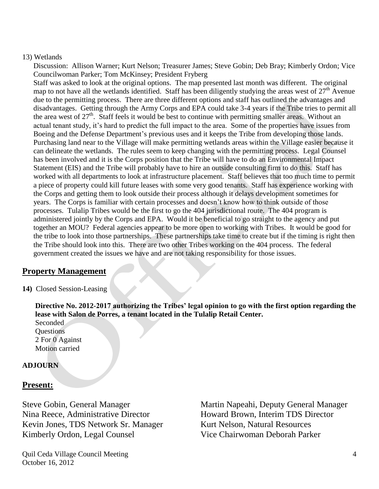#### 13) Wetlands

 Discussion: Allison Warner; Kurt Nelson; Treasurer James; Steve Gobin; Deb Bray; Kimberly Ordon; Vice Councilwoman Parker; Tom McKinsey; President Fryberg

 Staff was asked to look at the original options. The map presented last month was different. The original map to not have all the wetlands identified. Staff has been diligently studying the areas west of  $27<sup>th</sup>$  Avenue due to the permitting process. There are three different options and staff has outlined the advantages and disadvantages. Getting through the Army Corps and EPA could take 3-4 years if the Tribe tries to permit all the area west of  $27<sup>th</sup>$ . Staff feels it would be best to continue with permitting smaller areas. Without an actual tenant study, it's hard to predict the full impact to the area. Some of the properties have issues from Boeing and the Defense Department's previous uses and it keeps the Tribe from developing those lands. Purchasing land near to the Village will make permitting wetlands areas within the Village easier because it can delineate the wetlands. The rules seem to keep changing with the permitting process. Legal Counsel has been involved and it is the Corps position that the Tribe will have to do an Environmental Impact Statement (EIS) and the Tribe will probably have to hire an outside consulting firm to do this. Staff has worked with all departments to look at infrastructure placement. Staff believes that too much time to permit a piece of property could kill future leases with some very good tenants. Staff has experience working with the Corps and getting them to look outside their process although it delays development sometimes for years. The Corps is familiar with certain processes and doesn't know how to think outside of those processes. Tulalip Tribes would be the first to go the 404 jurisdictional route. The 404 program is administered jointly by the Corps and EPA. Would it be beneficial to go straight to the agency and put together an MOU? Federal agencies appear to be more open to working with Tribes. It would be good for the tribe to look into those partnerships. These partnerships take time to create but if the timing is right then the Tribe should look into this. There are two other Tribes working on the 404 process. The federal government created the issues we have and are not taking responsibility for those issues.

## **Property Management**

**14)** Closed Session-Leasing

 **Directive No. 2012-2017 authorizing the Tribes' legal opinion to go with the first option regarding the lease with Salon de Porres, a tenant located in the Tulalip Retail Center.**

 Seconded **Ouestions**  2 For 0 Against Motion carried

### **ADJOURN**

## **Present:**

Nina Reece, Administrative Director Howard Brown, Interim TDS Director Kevin Jones, TDS Network Sr. Manager Kurt Nelson, Natural Resources Kimberly Ordon, Legal Counsel Vice Chairwoman Deborah Parker

Steve Gobin, General Manager Martin Napeahi, Deputy General Manager